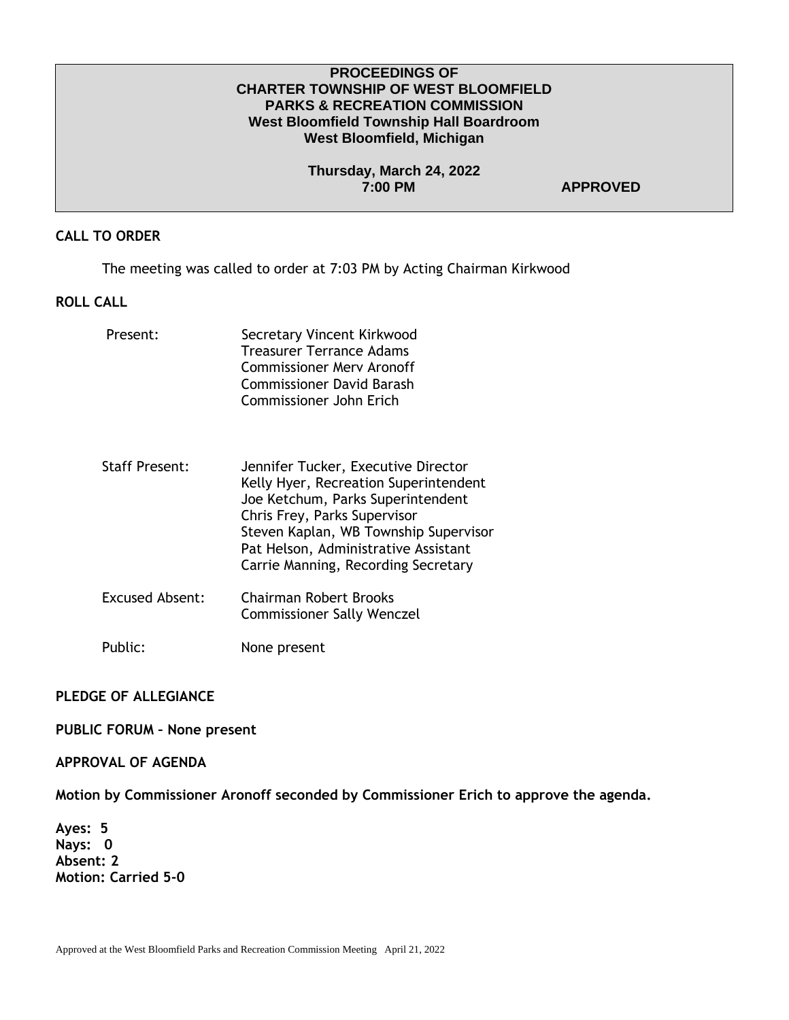#### **PROCEEDINGS OF CHARTER TOWNSHIP OF WEST BLOOMFIELD PARKS & RECREATION COMMISSION West Bloomfield Township Hall Boardroom West Bloomfield, Michigan**

**Thursday, March 24, 2022 7:00 PM APPROVED** 

### **CALL TO ORDER**

The meeting was called to order at 7:03 PM by Acting Chairman Kirkwood

### **ROLL CALL**

| Present:               | Secretary Vincent Kirkwood<br>Treasurer Terrance Adams<br>Commissioner Mery Aronoff<br>Commissioner David Barash<br>Commissioner John Erich                                                                                                                               |
|------------------------|---------------------------------------------------------------------------------------------------------------------------------------------------------------------------------------------------------------------------------------------------------------------------|
| <b>Staff Present:</b>  | Jennifer Tucker, Executive Director<br>Kelly Hyer, Recreation Superintendent<br>Joe Ketchum, Parks Superintendent<br>Chris Frey, Parks Supervisor<br>Steven Kaplan, WB Township Supervisor<br>Pat Helson, Administrative Assistant<br>Carrie Manning, Recording Secretary |
| <b>Excused Absent:</b> | Chairman Robert Brooks<br><b>Commissioner Sally Wenczel</b>                                                                                                                                                                                                               |

Public: None present

# **PLEDGE OF ALLEGIANCE**

**PUBLIC FORUM – None present**

# **APPROVAL OF AGENDA**

**Motion by Commissioner Aronoff seconded by Commissioner Erich to approve the agenda.** 

**Ayes: 5 Nays: 0 Absent: 2 Motion: Carried 5-0**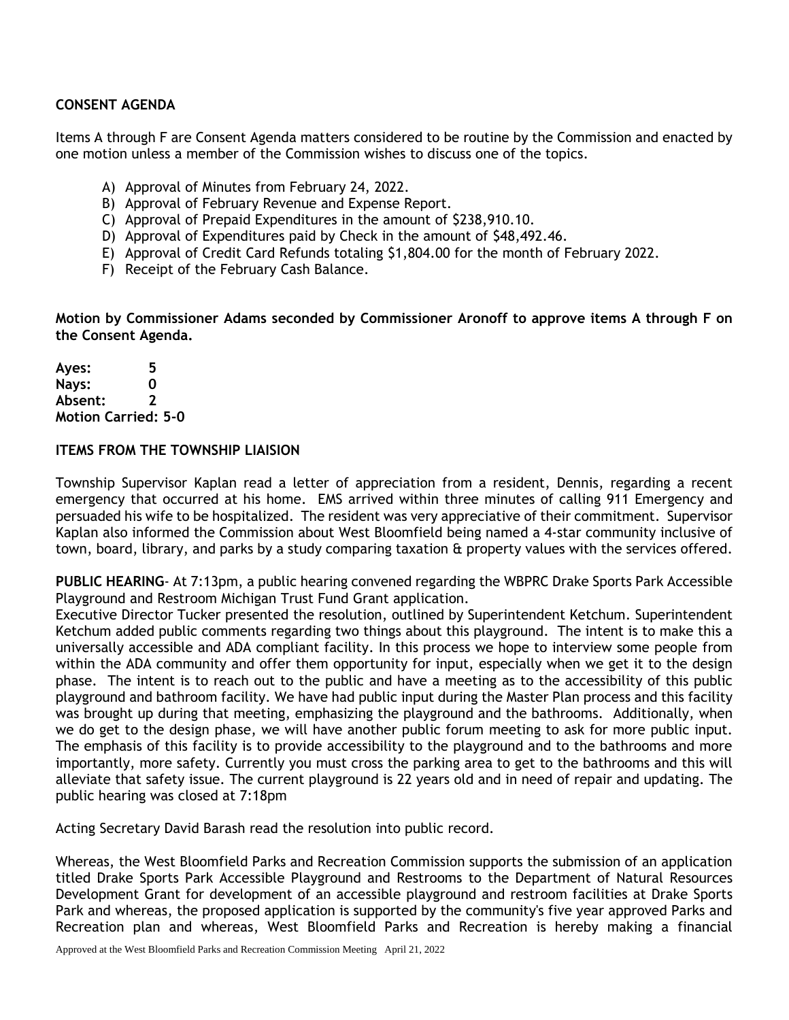# **CONSENT AGENDA**

Items A through F are Consent Agenda matters considered to be routine by the Commission and enacted by one motion unless a member of the Commission wishes to discuss one of the topics.

- A) Approval of Minutes from February 24, 2022.
- B) Approval of February Revenue and Expense Report.
- C) Approval of Prepaid Expenditures in the amount of \$238,910.10.
- D) Approval of Expenditures paid by Check in the amount of \$48,492.46.
- E) Approval of Credit Card Refunds totaling \$1,804.00 for the month of February 2022.
- F) Receipt of the February Cash Balance.

**Motion by Commissioner Adams seconded by Commissioner Aronoff to approve items A through F on the Consent Agenda.**

**Ayes: 5 Nays: 0 Absent: 2 Motion Carried: 5-0** 

### **ITEMS FROM THE TOWNSHIP LIAISION**

Township Supervisor Kaplan read a letter of appreciation from a resident, Dennis, regarding a recent emergency that occurred at his home. EMS arrived within three minutes of calling 911 Emergency and persuaded his wife to be hospitalized. The resident was very appreciative of their commitment. Supervisor Kaplan also informed the Commission about West Bloomfield being named a 4-star community inclusive of town, board, library, and parks by a study comparing taxation & property values with the services offered.

**PUBLIC HEARING**- At 7:13pm, a public hearing convened regarding the WBPRC Drake Sports Park Accessible Playground and Restroom Michigan Trust Fund Grant application.

Executive Director Tucker presented the resolution, outlined by Superintendent Ketchum. Superintendent Ketchum added public comments regarding two things about this playground. The intent is to make this a universally accessible and ADA compliant facility. In this process we hope to interview some people from within the ADA community and offer them opportunity for input, especially when we get it to the design phase. The intent is to reach out to the public and have a meeting as to the accessibility of this public playground and bathroom facility. We have had public input during the Master Plan process and this facility was brought up during that meeting, emphasizing the playground and the bathrooms. Additionally, when we do get to the design phase, we will have another public forum meeting to ask for more public input. The emphasis of this facility is to provide accessibility to the playground and to the bathrooms and more importantly, more safety. Currently you must cross the parking area to get to the bathrooms and this will alleviate that safety issue. The current playground is 22 years old and in need of repair and updating. The public hearing was closed at 7:18pm

Acting Secretary David Barash read the resolution into public record.

Whereas, the West Bloomfield Parks and Recreation Commission supports the submission of an application titled Drake Sports Park Accessible Playground and Restrooms to the Department of Natural Resources Development Grant for development of an accessible playground and restroom facilities at Drake Sports Park and whereas, the proposed application is supported by the community's five year approved Parks and Recreation plan and whereas, West Bloomfield Parks and Recreation is hereby making a financial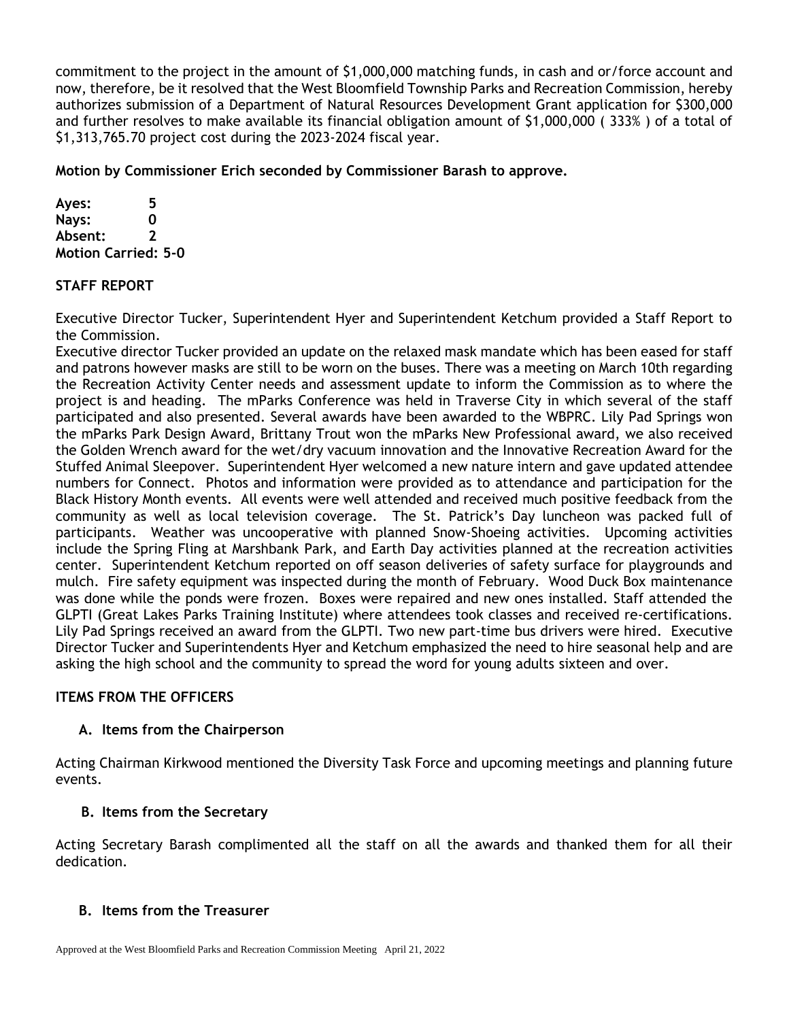commitment to the project in the amount of \$1,000,000 matching funds, in cash and or/force account and now, therefore, be it resolved that the West Bloomfield Township Parks and Recreation Commission, hereby authorizes submission of a Department of Natural Resources Development Grant application for \$300,000 and further resolves to make available its financial obligation amount of \$1,000,000 ( 333% ) of a total of \$1,313,765.70 project cost during the 2023-2024 fiscal year.

**Motion by Commissioner Erich seconded by Commissioner Barash to approve.**

**Ayes: 5 Nays: 0 Absent: 2 Motion Carried: 5-0** 

# **STAFF REPORT**

Executive Director Tucker, Superintendent Hyer and Superintendent Ketchum provided a Staff Report to the Commission.

Executive director Tucker provided an update on the relaxed mask mandate which has been eased for staff and patrons however masks are still to be worn on the buses. There was a meeting on March 10th regarding the Recreation Activity Center needs and assessment update to inform the Commission as to where the project is and heading. The mParks Conference was held in Traverse City in which several of the staff participated and also presented. Several awards have been awarded to the WBPRC. Lily Pad Springs won the mParks Park Design Award, Brittany Trout won the mParks New Professional award, we also received the Golden Wrench award for the wet/dry vacuum innovation and the Innovative Recreation Award for the Stuffed Animal Sleepover. Superintendent Hyer welcomed a new nature intern and gave updated attendee numbers for Connect. Photos and information were provided as to attendance and participation for the Black History Month events. All events were well attended and received much positive feedback from the community as well as local television coverage. The St. Patrick's Day luncheon was packed full of participants. Weather was uncooperative with planned Snow-Shoeing activities. Upcoming activities include the Spring Fling at Marshbank Park, and Earth Day activities planned at the recreation activities center. Superintendent Ketchum reported on off season deliveries of safety surface for playgrounds and mulch. Fire safety equipment was inspected during the month of February. Wood Duck Box maintenance was done while the ponds were frozen. Boxes were repaired and new ones installed. Staff attended the GLPTI (Great Lakes Parks Training Institute) where attendees took classes and received re-certifications. Lily Pad Springs received an award from the GLPTI. Two new part-time bus drivers were hired. Executive Director Tucker and Superintendents Hyer and Ketchum emphasized the need to hire seasonal help and are asking the high school and the community to spread the word for young adults sixteen and over.

# **ITEMS FROM THE OFFICERS**

# **A. Items from the Chairperson**

Acting Chairman Kirkwood mentioned the Diversity Task Force and upcoming meetings and planning future events.

# **B. Items from the Secretary**

Acting Secretary Barash complimented all the staff on all the awards and thanked them for all their dedication.

# **B. Items from the Treasurer**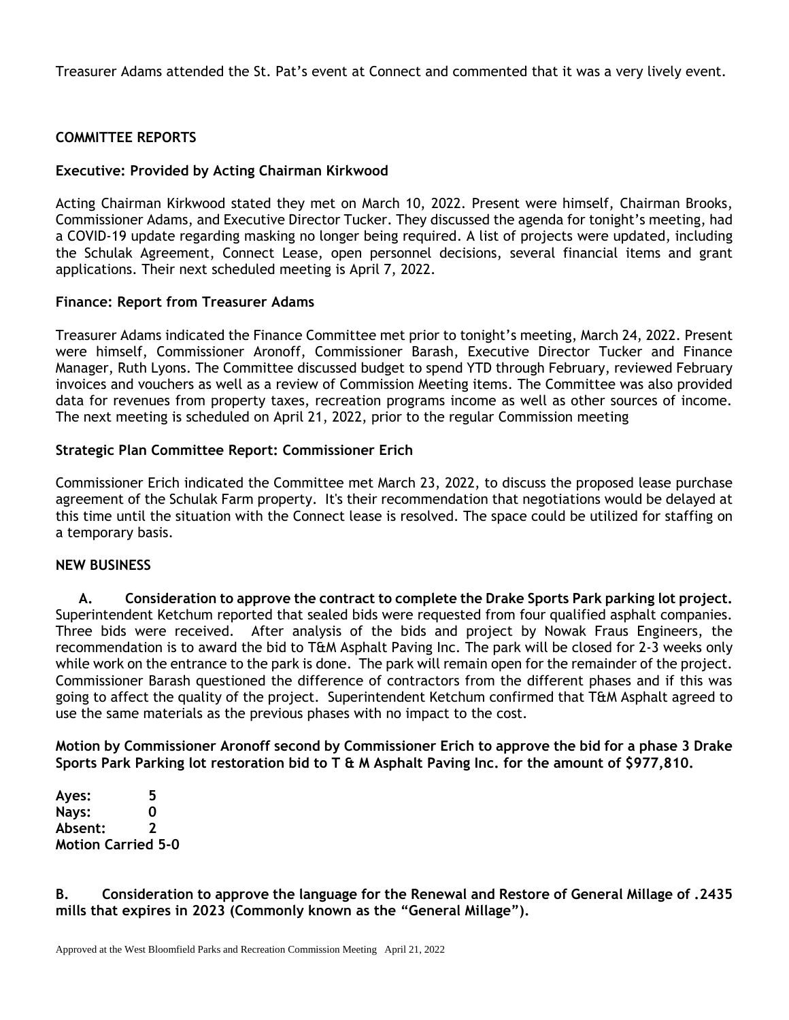Treasurer Adams attended the St. Pat's event at Connect and commented that it was a very lively event.

## **COMMITTEE REPORTS**

#### **Executive: Provided by Acting Chairman Kirkwood**

Acting Chairman Kirkwood stated they met on March 10, 2022. Present were himself, Chairman Brooks, Commissioner Adams, and Executive Director Tucker. They discussed the agenda for tonight's meeting, had a COVID-19 update regarding masking no longer being required. A list of projects were updated, including the Schulak Agreement, Connect Lease, open personnel decisions, several financial items and grant applications. Their next scheduled meeting is April 7, 2022.

#### **Finance: Report from Treasurer Adams**

Treasurer Adams indicated the Finance Committee met prior to tonight's meeting, March 24, 2022. Present were himself, Commissioner Aronoff, Commissioner Barash, Executive Director Tucker and Finance Manager, Ruth Lyons. The Committee discussed budget to spend YTD through February, reviewed February invoices and vouchers as well as a review of Commission Meeting items. The Committee was also provided data for revenues from property taxes, recreation programs income as well as other sources of income. The next meeting is scheduled on April 21, 2022, prior to the regular Commission meeting

### **Strategic Plan Committee Report: Commissioner Erich**

Commissioner Erich indicated the Committee met March 23, 2022, to discuss the proposed lease purchase agreement of the Schulak Farm property. It's their recommendation that negotiations would be delayed at this time until the situation with the Connect lease is resolved. The space could be utilized for staffing on a temporary basis.

#### **NEW BUSINESS**

**A. Consideration to approve the contract to complete the Drake Sports Park parking lot project.** Superintendent Ketchum reported that sealed bids were requested from four qualified asphalt companies. Three bids were received. After analysis of the bids and project by Nowak Fraus Engineers, the recommendation is to award the bid to T&M Asphalt Paving Inc. The park will be closed for 2-3 weeks only while work on the entrance to the park is done. The park will remain open for the remainder of the project. Commissioner Barash questioned the difference of contractors from the different phases and if this was going to affect the quality of the project. Superintendent Ketchum confirmed that T&M Asphalt agreed to use the same materials as the previous phases with no impact to the cost.

**Motion by Commissioner Aronoff second by Commissioner Erich to approve the bid for a phase 3 Drake Sports Park Parking lot restoration bid to T & M Asphalt Paving Inc. for the amount of \$977,810.**

**Ayes: 5 Nays: 0 Absent: 2 Motion Carried 5-0**

### **B. Consideration to approve the language for the Renewal and Restore of General Millage of .2435 mills that expires in 2023 (Commonly known as the "General Millage").**